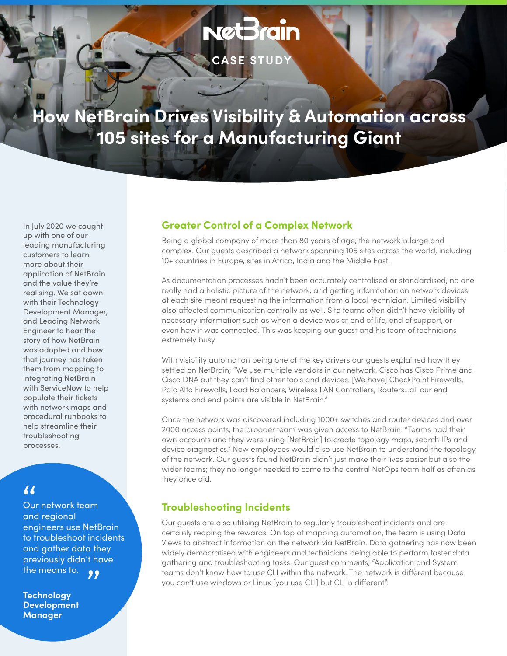# **NetBrain CASE STUDY**

## **How NetBrain Drives Visibility & Automation across 105 sites for a Manufacturing Giant**

In July 2020 we caught up with one of our leading manufacturing customers to learn more about their application of NetBrain and the value they're realising. We sat down with their Technology Development Manager, and Leading Network Engineer to hear the story of how NetBrain was adopted and how that journey has taken them from mapping to integrating NetBrain with ServiceNow to help populate their tickets with network maps and procedural runbooks to help streamline their troubleshooting processes.

### "

Our network team and regional engineers use NetBrain to troubleshoot incidents and gather data they previously didn't have

the means to.<br>Technology<br>Dovelopment **Technology Development Manager**

#### **Greater Control of a Complex Network**

Being a global company of more than 80 years of age, the network is large and complex. Our guests described a network spanning 105 sites across the world, including 10+ countries in Europe, sites in Africa, India and the Middle East.

As documentation processes hadn't been accurately centralised or standardised, no one really had a holistic picture of the network, and getting information on network devices at each site meant requesting the information from a local technician. Limited visibility also affected communication centrally as well. Site teams often didn't have visibility of necessary information such as when a device was at end of life, end of support, or even how it was connected. This was keeping our guest and his team of technicians extremely busy.

With visibility automation being one of the key drivers our guests explained how they settled on NetBrain; "We use multiple vendors in our network. Cisco has Cisco Prime and Cisco DNA but they can't find other tools and devices. [We have] CheckPoint Firewalls, Palo Alto Firewalls, Load Balancers, Wireless LAN Controllers, Routers…all our end systems and end points are visible in NetBrain."

Once the network was discovered including 1000+ switches and router devices and over 2000 access points, the broader team was given access to NetBrain. "Teams had their own accounts and they were using [NetBrain] to create topology maps, search IPs and device diagnostics." New employees would also use NetBrain to understand the topology of the network. Our guests found NetBrain didn't just make their lives easier but also the wider teams; they no longer needed to come to the central NetOps team half as often as they once did.

#### **Troubleshooting Incidents**

Our guests are also utilising NetBrain to regularly troubleshoot incidents and are certainly reaping the rewards. On top of mapping automation, the team is using Data Views to abstract information on the network via NetBrain. Data gathering has now been widely democratised with engineers and technicians being able to perform faster data gathering and troubleshooting tasks. Our guest comments; "Application and System teams don't know how to use CLI within the network. The network is different because you can't use windows or Linux [you use CLI] but CLI is different".